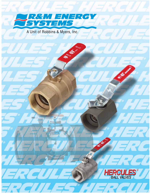

A Unit of Robbins & Myers, Inc.

 $\mathbb{Z}^n$ 

 $\frac{1}{2}$ 

 $H = H$ 

**CENTRE** 



**BEL** 

 $\mathcal{L}_{\mathbf{z}}$ 

 $H = R$ 

 $\Rightarrow$ 

 $\Rightarrow$   $\bullet$ 

**Simple 19** 

₹.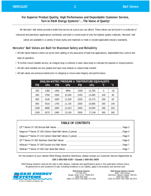## **For Superior Product Quality, High Performance and Dependable Customer Service, Turn to R&M Energy Systems™...The Name of Quality!**

All Hercules® ball valves provide trouble-free service at a price you can afford. These valves can be found in a multitude of industrial and petroleum applications worldwide, and each is constructed of only the highest quality materials. Hercules<sup>®</sup> ball valves are available in a variety of body styles and materials to meet or exceed applicable industry standards.

### **Hercules® Ball Valves are Built for Maximum Safety and Reliability**

- All ball valves feature a blow-out proof stem adding to the assurance of leak-free applications, dependable flow control and ease of operation.
- To further insure reliable service, an integral stop is inherent in each valve body to indicate the opened or closed position.
- All ball valve handles are zinc-plated and have vinyl sleeves to reduce heat transfer.
- All ball valves are pressure-tested prior to shipping to insure seat integrity and performance.

|            | <b>ENGLISH-METRIC PRESSURE &amp; TEMPERATURE EQUIVALENTS</b> |            |            |            |        |          |              |  |  |
|------------|--------------------------------------------------------------|------------|------------|------------|--------|----------|--------------|--|--|
| <b>PSI</b> | kPa                                                          | <b>PSI</b> | <b>kPa</b> | <b>PSI</b> | kPa    | ˚F       | $\mathbf{C}$ |  |  |
| 200        | 1380                                                         | 1400       | 9655       | 2000       | 13,790 | $\Omega$ | $-18$        |  |  |
| 400        | 2760                                                         | 1500       | 10,340     | 2100       | 14,480 | 100      | 38           |  |  |
| 600        | 4140                                                         | 1600       | 11,030     | 2200       | 15,170 | 200      | 93           |  |  |
| 800        | 5516                                                         | 1700       | 11,720     | 2300       | 15,860 | 300      | 149          |  |  |
| 1000       | 6895                                                         | 1800       | 12,410     | 2400       | 16,550 | 400      | 204          |  |  |
| 1200       | 8275                                                         | 1900       | 13,100     | 2500       | 17,240 | 500      | 260          |  |  |

# **TABLE OF CONTENTS**

For the location of your nearest R&M Energy Systems Distributor, please contact our Customer Service Department at: **USA 1-800-858-4158 • Canada 1-800-661-5659**

R&M Energy Systems reserves the right to alter designs, materials and specifications given in this publication without notice. All general terms and conditions of sale, including limitations to our liability, apply to all products and services sold.



**R&M Energy Systems** P.O. Box 2871 Borger, Texas, U.S.A. 79008-2871 (800) 858-4158 (806) 274-5293 • Fax (806) 274-3418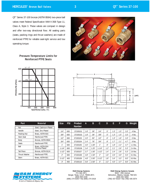QT™ Series 37-100 bronze (ASTM B584) two-piece ball valves meet Federal Specification WW-V-35B Type 11, Class A, Style 3. These valves are compact in design and offer two-way directional flow. All sealing parts (seats, packing rings and thrust washers) are made of reinforced PTFE for reliable seal-tight service and low operating torque.

#### **Pressure-Temperature Limits for Reinforced PTFE Seats**





| Part                 | <b>Material</b>                  |
|----------------------|----------------------------------|
| Nut                  | Steel, Cadmium-Plated            |
| Handle               | Steel, Zinc-Plated               |
| Packing Nut          | Brass, ASTM B16                  |
| Stem Seal            | <b>Reinforced PTFE</b>           |
| Body                 | Bronze, ASTM B584                |
| <b>Seats</b>         | <b>Reinforced PTFE</b>           |
| <b>Ball</b>          | Brass, ASTM B16<br>Chrome-Plated |
| <b>Tail Piece</b>    | Bronze, ASTM B124                |
| <b>Thrust Washer</b> | <b>Reinforced PTFE</b>           |
| Stem                 | Brass, ASTM B21                  |

| <b>Size</b>    | <b>PSI</b> | Product<br><b>Number</b> | A     | B      | C              | D    | E    | F     | G     | Weight     |
|----------------|------------|--------------------------|-------|--------|----------------|------|------|-------|-------|------------|
| 1/4"           | 600        | 37100101                 | 1.8"  | .39''  | 1/4"           | .5"  | 1.3" | 1.5'' | 3.3"  | $.4$ lbs.  |
| 3/8''          | 600        | 37100102                 | 1.8"  | .39''  | 3/8''          | .5'' | 1.3" | 1.5'' | 3.3"  | $.4$ lbs.  |
| 1/2"           | 600        | 37100103                 | 2.0"  | .50''  | 1/2"           | .6"  | 1.3" | 1.6"  | 3.3"  | $.5$ lbs.  |
| 3/4''          | 600        | 37100104                 | 2.4"  | .78''  | 3/4''          | .8"  | 1.7" | 2.1"  | 4.7"  | $.9$ lbs.  |
| 1 <sup>n</sup> | 600        | 37100105                 | 3.0"  | 1.00"  | 1 <sup>n</sup> | .9"  | 1.8" | 2.2"  | 4.7"  | $1.3$ lbs. |
| $1 - 1/4$ "    | 600        | 37100106                 | 3.4"  | 1.25'' | $1 - 1/4"$     | 1.2" | 2.1" | 2.6"  | 5.3'' | $2.4$ lbs. |
| $1 - 1/2"$     | 600        | 37100107                 | 3.7"  | 1.50'' | $1 - 1/2"$     | 1.4" | 2.4" | 2.8"  | 5.3'' | 2.8 lbs.   |
| 2 <sup>n</sup> | 600        | 37100108                 | 4.8"  | 1.50'' | 2 <sup>n</sup> | 1.6" | 2.6" | 3.0"  | 5.5'' | $6.3$ lbs. |
| $2 - 1/2"$     | 400        | 37100109                 | 4.8"  | 2.00"  | $2 - 1/2"$     | 1.8" | 3.4" | 3.3"  | 8.0"  | $6.9$ lbs. |
| 3"             | 400        | 37100110                 | 5.6'' | 2.50"  | 3"             | 2.2" | 4.0" | 3.7"  | 8.0"  | $9.3$ lbs. |



**R&M Energy Systems**<br>P.O. Box 2871<br>Borger, Texas, U.S.A. 79008-2871<br>(800) 858-4158<br>(806) 274-5293 • Fax (806) 274-3418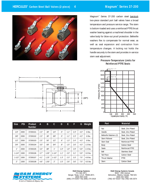

Magnum<sup>™</sup> Series 37-200 carbon steel barstock two-piece standard port ball valves have a broad temperature and pressure service range. The stem is bottom-loaded and uses a reinforced PTFE thrust washer bearing against a machined shoulder in the valve body for blow-out proof protection. Belleville washers flex to compensate for normal wear, as well as seal expansion and contraction from temperature changes. A locking nut holds the handle securely to the stem and provides in-service stem seal adjustment.

> **Pressure-Temperature Limits for Reinforced PTFE Seats**



| <b>Size</b>    | <b>PSI</b> | <b>Product</b><br><b>Number</b> | A     | B      | C              | D    | E    | F     | G     | Weight     |
|----------------|------------|---------------------------------|-------|--------|----------------|------|------|-------|-------|------------|
| 1/4"           | 2000       | 37200101                        | 2.3"  | .38''  | 1/4"           | .5"  | 1.1" | 2.3"  | 4.3"  | $.6$ lbs.  |
| 3/8''          | 2000       | 37200102                        | 2.3"  | .38''  | 3/8''          | .5"  | 1.1" | 2.3"  | 4.3"  | $.6$ lbs.  |
| 1/2"           | 2000       | 37200103                        | 2.5"  | .50''  | 1/2"           | .6"  | 1.3" | 2.4"  | 4.3'' | $.8$ lbs.  |
| 3/4''          | 2000       | 37200104                        | 3.0"  | .69"   | 3/4''          | .8"  | 1.5" | 2.6"  | 4.3"  | $1.5$ lbs. |
| 1 <sup>n</sup> | 2000       | 37200105                        | 3.4"  | .88"   | 1 <sup>n</sup> | 1.0" | 1.9" | 2.9"  | 5.9'' | 2.4 lbs.   |
| $1 - 1/4"$     | 1500       | 37200106                        | 3.7'' | 1.00"  | $1 - 1/4$ "    | 1.1" | 2.0" | 3.1"  | 5.9'' | 3.0 lbs.   |
| $1 - 1/2"$     | 1500       | 37200107                        | 4.1"  | 1.25'' | $1 - 1/2"$     | 1.3" | 2.3" | 3.3"  | 7.5'' | 4.8 lbs.   |
| 2 <sup>n</sup> | 1500       | 37200108                        | 4.6"  | 1.50'' | 2 <sup>n</sup> | 1.5" | 2.6" | 3.6'' | 7.5'' | $6.5$ lbs  |



| Part                   | <b>Material</b>        |
|------------------------|------------------------|
| Nut                    | Steel, Zinc-Plated     |
| Handle                 | Steel, Zinc-Plated     |
| Belleville Washers (2) | Steel, Zinc-Plated     |
| <b>Stem Follower</b>   | Steel, Zinc-Plated     |
| Stem Seal              | <b>Reinforced PTFE</b> |
| Body                   | Carbon Steel           |
| <b>Seats</b>           | <b>Reinforced PTFE</b> |
| Ball                   | <b>Stainless Steel</b> |
| <b>Tail Piece</b>      | Carbon Steel           |
| <b>Thrust Washer</b>   | <b>PTFE</b>            |
| Stem                   | Carbon Steel           |



**R&M Energy Systems** P.O. Box 2871 Borger, Texas, U.S.A. 79008-2871 (800) 858-4158 (806) 274-5293 • Fax (806) 274-3418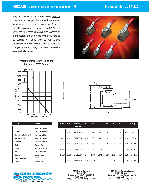Magnum™ Series 37-210 carbon steel barstock one-piece reduced port ball valves have a broad temperature and pressure service range. As in the 37-200 two-piece valve, the one-piece 37-210 ball valve has the same characteristics concerning stem design, the use of Belleville washers to compensate for normal wear as well as seal expansion and contraction from temperature changes, and the locking nut's use for in-service stem seal adjustment.



**Pressure-Temperature Limits for Reinforced PTFE Seats**



| Part                   | <b>Material</b>        |
|------------------------|------------------------|
| Nut                    | Steel, Zinc-Plated     |
| Handle                 | Steel, Zinc-Plated     |
| Belleville Washers (2) | Steel, Zinc-Plated     |
| Stem Follower          | Steel, Zinc-Plated     |
| Stem Seal              | <b>Reinforced PTFE</b> |
| Body                   | Carbon Steel           |
| <b>Seats</b>           | <b>Reinforced PTFE</b> |
| Ball                   | <b>Stainless Steel</b> |
| Spacer                 | Carbon Steel           |
| <b>Thrust Washer</b>   | PTFE                   |
| Stem                   | Carbon Steel           |



| <b>Size</b>    | <b>PSI</b> | <b>Product</b><br><b>Number</b> | A     | B      | C               | D    | E.    | F     | G     | Weight     |
|----------------|------------|---------------------------------|-------|--------|-----------------|------|-------|-------|-------|------------|
| 1/2"           | 2000       | 37210303                        | 2.3"  | .38''  | 1/2"            | .5"  | 1.1"  | 2.3"  | 4.3'' | $.6$ lbs.  |
| 3/4''          | 2000       | 37210304                        | 2.5'' | .50''  | 3/4''           | .6"  | 1.3"  | 2.4"  | 4.3'' | $.6$ lbs.  |
| 1"             | 2000       | 37210305                        | 3.0"  | .65''  | 1 <sup>''</sup> | .8"  | 1.5'' | 2.6"  | 4.3'' | $1.1$ lbs. |
| $1 - 1/4"$     | 1500       | 37210306                        | 3.2"  | .81"   | $1 - 1/4$ "     | 1.0" | 1.6"  | 2.8"  | 5.8'' | $1.9$ lbs. |
| $1 - 1/2"$     | 1500       | 37210307                        | 3.5'' | 1.00"  | $1 - 1/2"$      | 1.1" | 1.8"  | 2.8"  | 5.8'' | 2.6 lbs.   |
| 2 <sup>n</sup> | 1500       | 37210308                        | 4.0"  | 1.25'' | 2 <sup>n</sup>  | 1.3" | 2.3"  | 3.5'' | 7.5'' | 4.2 lbs.   |



**R&M Energy Systems** P.O. Box 2871 Borger, Texas, U.S.A. 79008-2871 (800) 858-4158 (806) 274-5293 • Fax (806) 274-3418

# **R&M Energy Systems Canada** 9830 - 45th Avenue Edmonton, Alberta, Canada T6E 5C5

(800) 661-5659 (780) 437-6316 • Fax (780) 435-3074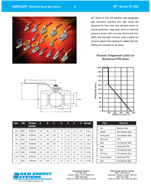

QT<sup>™</sup> Series 37-300 316 stainless steel investment cast two-piece standard port ball valves are designed for flow lines that demand severe or critical protection. Large ports serve to minimize pressure drops with two-way directional flow ability and drip-tight closures, while a gland nut serves to adjust stem packing for added wear life. Sliding lock standard on all valves.

#### **Pressure-Temperature Limits for Reinforced PTFE Seats**



| Part                 | <b>Material</b>        |
|----------------------|------------------------|
| Nut                  | <b>Stainless Steel</b> |
| Handle               | 304 Stainless Steel    |
| Packing Nut          | 316 Stainless Steel    |
| Stem Seal            | <b>PTFF</b>            |
| Body                 | 316 Stainless Steel    |
| <b>Seats</b>         | <b>Reinforced PTFE</b> |
| Ball                 | 316 Stainless Steel    |
| <b>Tail Piece</b>    | 316 Stainless Steel    |
| <b>Thrust Washer</b> | <b>Reinforced PTFE</b> |
| Stem                 | 316 Stainless Steel    |



| <b>Size</b>    | <b>PSI</b> | <b>Product</b><br><b>Number</b> | A     | B      | C               | D    | E     | F     | G     | Weight     |
|----------------|------------|---------------------------------|-------|--------|-----------------|------|-------|-------|-------|------------|
| 1/4"           | 2000       | 37300101                        | 2.0"  | .38''  | 1/4"            | .5"  | 1.4"  | 1.8'' | 4.4"  | $.6$ lbs.  |
| 3/8''          | 2000       | 37300102                        | 2.0"  | .38''  | 3/8"            | .5"  | 1.4"  | 1.8"  | 4.4"  | $.6$ lbs.  |
| 1/2"           | 2000       | 37300103                        | 2.4"  | .50''  | 1/2"            | .6"  | 1.6"  | 2.0"  | 4.4"  | $.7$ lbs.  |
| 3/4''          | 2000       | 37300104                        | 2.8"  | .69''  | 3/4''           | .8"  | 2.0"  | 2.5"  | 5.9'' | $1.3$ lbs. |
| 1"             | 2000       | 37300105                        | 3.3'' | .88''  | 1 <sup>''</sup> | .9"  | 2.2"  | 2.5"  | 5.9'' | $1.8$ lbs. |
| $1 - 1/4"$     | 2000       | 37300106                        | 3.6'' | 1.00"  | $1 - 1/4"$      | 1.0" | 2.5'' | 2.9"  | 7.9'' | 2.6 lbs.   |
| $1 - 1/2"$     | 2000       | 37300107                        | 4.0"  | 1.25"  | $1 - 1/2"$      | 1.3" | 2.6"  | 3.1"  | 7.9"  | 3.8 lbs.   |
| 2 <sup>n</sup> | 2000       | 37300108                        | 4.6"  | 1.50'' | 2 <sup>n</sup>  | 1.5" | 2.9"  | 3.4"  | 7.9"  | 5.5 lbs.   |



**R&M Energy Systems** P.O. Box 2871 Borger, Texas, U.S.A. 79008-2871 (800) 858-4158 (806) 274-5293 • Fax (806) 274-3418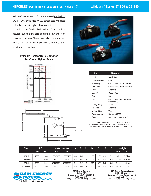Wildcat'r<sup>™</sup> Series 37-500 furnace annealed ductile iron (ASTM A395) and Series 37-550 carbon steel two-piece ball valves are zinc phosphate-coated for corrosion protection. The floating ball design of these valves assures bubble-tight sealing during low and high pressure conditions. These valves also come standard with a lock plate which provides security against unauthorized operation.

> **Pressure-Temperature Limits for Reinforced Nylon® Seats**







| Part                 | <b>Material</b>                             |
|----------------------|---------------------------------------------|
| Handle               | Ductile Iron                                |
| Snap Ring Cover      | <b>Plastic</b>                              |
| Snap Ring            | Carbon Steel, Cadmium-Plated                |
| Lock Plate           | Carbon Steel, Cadmium-Plated                |
| Body                 | (See Note 1)                                |
| Index Pin            | Carbon Steel                                |
| <b>Seats</b>         | Delrin                                      |
| <b>Ball</b>          | Carbon Steel, Chrome-Plated<br>(See Note 2) |
| O-Ring, Body         | Viton <sup>®</sup>                          |
| <b>Tail Piece</b>    | (See Note 1)                                |
| 0-Ring, Stem         | Viton                                       |
| <b>Thrust Washer</b> | <b>Reinforced PTFE</b>                      |
| Stem                 | Carbon Steel (See Note 2)                   |

(1) 37-500: Ductile Iron A395 • 37-550: Carbon Steel A216 WCC (2) Severe service trim available. Contact Customer Service. ® Nylon and Vitron are registered trademarks of E.I. DuPont Corp.

| <b>Size</b> | <b>PSI</b> |      | <b>Product Number</b> |          | A     | B    | C.              | D    | E     | F     | G     | Weight    |           |
|-------------|------------|------|-----------------------|----------|-------|------|-----------------|------|-------|-------|-------|-----------|-----------|
|             | 500        | 550  | 500                   | 550      |       |      |                 |      |       |       |       | 500       | 550       |
| 1" Full     | 2000       | 2500 | 37500205              | 37550205 | 4.8'' | .0"  | 1 <sub>II</sub> | .3"  | 2.6"  | 4.0"  | 7.2"  | $5$ lbs.  | 5.5 lbs.  |
| 2" Standard | 2000       | 2500 | 37500108              | 37550108 | 6.2"  | .5"  | 2 <sup>''</sup> | 1.7" | 3.2"  | 4.5'' | 8.4'' | $10$ lbs. | 10.5 lbs. |
| 2" Full     | 1500       | 2200 | 37500208              | 37550208 | 6.9"  | 2.0" | 2 <sup>''</sup> | 2.0" | 3.9"  | 5.0"  | 8.4'' | $14$ lbs. | 15 lbs.   |
| 3" Standard | 1500       | 2200 | 37500110              | 37550310 | 8.5'' | 2.0" | 3"              | 2.5" | 3.9'' | 5.0"  | 8.4'' | $22$ lbs. | 24 lbs.   |



A Unit of Robbins & Myers, Inc.

**R&M Energy Systems** P.O. Box 2871 Borger, Texas, U.S.A. 79008-2871 (800) 858-4158 (806) 274-5293 • Fax (806) 274-3418